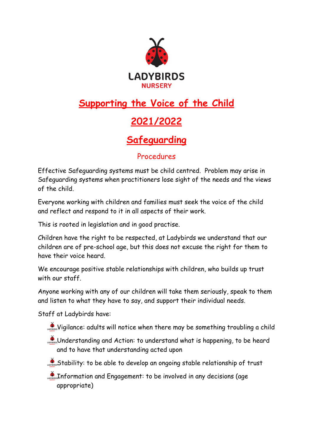

# **Supporting the Voice of the Child**

# **2021/2022**

## **Safeguarding**

#### Procedures

Effective Safeguarding systems must be child centred. Problem may arise in Safeguarding systems when practitioners lose sight of the needs and the views of the child.

Everyone working with children and families must seek the voice of the child and reflect and respond to it in all aspects of their work.

This is rooted in legislation and in good practise.

Children have the right to be respected, at Ladybirds we understand that our children are of pre-school age, but this does not excuse the right for them to have their voice heard.

We encourage positive stable relationships with children, who builds up trust with our staff.

Anyone working with any of our children will take them seriously, speak to them and listen to what they have to say, and support their individual needs.

Staff at Ladybirds have:

- Vigilance: adults will notice when there may be something troubling a child
- Understanding and Action: to understand what is happening, to be heard and to have that understanding acted upon
- Stability: to be able to develop an ongoing stable relationship of trust

**Information and Engagement: to be involved in any decisions (age** appropriate)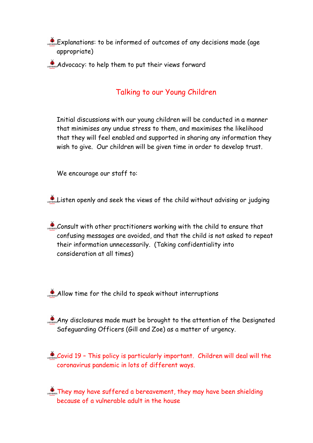Explanations: to be informed of outcomes of any decisions made (age appropriate)

 $\mathcal{A}$ dvocacy: to help them to put their views forward

### Talking to our Young Children

Initial discussions with our young children will be conducted in a manner that minimises any undue stress to them, and maximises the likelihood that they will feel enabled and supported in sharing any information they wish to give. Our children will be given time in order to develop trust.

We encourage our staff to:

Listen openly and seek the views of the child without advising or judging

Consult with other practitioners working with the child to ensure that confusing messages are avoided, and that the child is not asked to repeat their information unnecessarily. (Taking confidentiality into consideration at all times)

 $\mathcal{A}$ llow time for the child to speak without interruptions

 $\sum_{n=1}^{\infty}$  Any disclosures made must be brought to the attention of the Designated Safeguarding Officers (Gill and Zoe) as a matter of urgency.

 $\mathcal{L}_{\text{cross}}$  Covid 19 - This policy is particularly important. Children will deal will the coronavirus pandemic in lots of different ways.

They may have suffered a bereavement, they may have been shielding because of a vulnerable adult in the house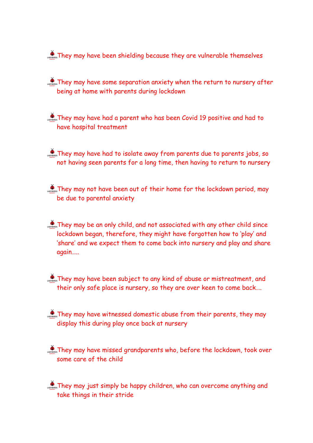They may have been shielding because they are vulnerable themselves

They may have some separation anxiety when the return to nursery after being at home with parents during lockdown

They may have had a parent who has been Covid 19 positive and had to have hospital treatment

They may have had to isolate away from parents due to parents jobs, so not having seen parents for a long time, then having to return to nursery

 $\sum_{n=1}^{\infty}$  They may not have been out of their home for the lockdown period, may be due to parental anxiety

They may be an only child, and not associated with any other child since lockdown began, therefore, they might have forgotten how to 'play' and 'share' and we expect them to come back into nursery and play and share again…..

They may have been subject to any kind of abuse or mistreatment, and their only safe place is nursery, so they are over keen to come back….

 $\sum_{n=1}^{\infty}$  They may have witnessed domestic abuse from their parents, they may display this during play once back at nursery

They may have missed grandparents who, before the lockdown, took over some care of the child

 $\sum_{n=1}^{\infty}$  They may just simply be happy children, who can overcome anything and take things in their stride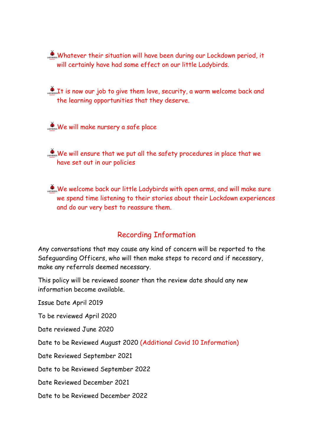Whatever their situation will have been during our Lockdown period, it will certainly have had some effect on our little Ladybirds.

 $\mathcal{L}_{\text{noncons}}$  It is now our job to give them love, security, a warm welcome back and the learning opportunities that they deserve.

We will make nursery a safe place

We will ensure that we put all the safety procedures in place that we have set out in our policies

We welcome back our little Ladybirds with open arms, and will make sure we spend time listening to their stories about their Lockdown experiences and do our very best to reassure them.

### Recording Information

Any conversations that may cause any kind of concern will be reported to the Safeguarding Officers, who will then make steps to record and if necessary, make any referrals deemed necessary.

This policy will be reviewed sooner than the review date should any new information become available.

Issue Date April 2019

To be reviewed April 2020

Date reviewed June 2020

Date to be Reviewed August 2020 (Additional Covid 10 Information)

Date Reviewed September 2021

Date to be Reviewed September 2022

Date Reviewed December 2021

Date to be Reviewed December 2022